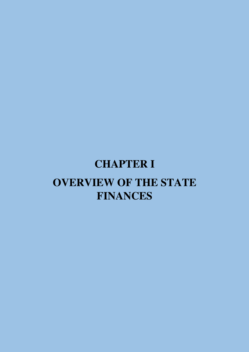# **CHAPTER I OVERVIEW OF THE STATE FINANCES**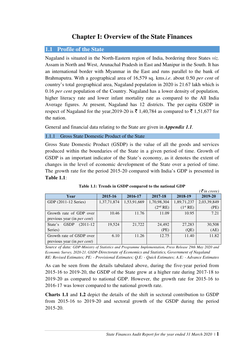## **Chapter I: Overview of the State Finances**

#### **1.1 Profile of the State**

Nagaland is situated in the North-Eastern region of India, bordering three States *viz.* Assam in North and West, Arunachal Pradesh in East and Manipur in the South. It has an international border with Myanmar in the East and runs parallel to the bank of Brahmaputra. With a geographical area of 16,579 sq. kms.*i.e*. about 0.50 *per cent* of country's total geographical area, Nagaland population in 2020 is 21.67 lakh which is 0.16 *per cent* population of the Country. Nagaland has a lower density of population, higher literacy rate and lower infant mortality rate as compared to the All India Average figures. At present, Nagaland has 12 districts. The per capita GSDP in respect of Nagaland for the year, 2019-20 is  $\bar{\xi}$  1,40,784 as compared to  $\bar{\xi}$  1,51,677 for the nation.

General and financial data relating to the State are given in *Appendix 1.1.*

#### 1.1.1 Gross State Domestic Product of the State

Gross State Domestic Product (GSDP) is the value of all the goods and services produced within the boundaries of the State in a given period of time. Growth of GSDP is an important indicator of the State's economy, as it denotes the extent of changes in the level of economic development of the State over a period of time. The growth rate for the period 2015-20 compared with India's GDP is presented in **Table 1.1**:

|                                       |             |             |                      |                      | $\bar{\tau}$ in crore) |
|---------------------------------------|-------------|-------------|----------------------|----------------------|------------------------|
| Year                                  | 2015-16     | 2016-17     | 2017-18              | 2018-19              | 2019-20                |
| GDP (2011-12 Series)                  | 1,37,71,874 | 1,53,91,669 | 1,70,98,304          | 1,89,71,237          | 2,03,39,849            |
|                                       |             |             | (2 <sup>nd</sup> RE) | (1 <sup>st</sup> RE) | (PE)                   |
| Growth rate of GDP over               | 10.46       | 11.76       | 11.09                | 10.95                | 7.21                   |
| previous year (in <i>per cent</i> )   |             |             |                      |                      |                        |
| <b>GSDP</b><br>$(2011-12)$<br>State's | 19.524      | 21,722      | 24,492               | 27,283               | 30,508                 |
| Series)                               |             |             | (PE)                 | (QE)                 | (AE)                   |
| Growth rate of GSDP over              | 6.10        | 11.26       | 12.75                | 11.40                | 11.82                  |
| previous year (in <i>per cent</i> )   |             |             |                      |                      |                        |

**Table 1.1: Trends in GSDP compared to the national GDP** 

*Source of data: GDP-Ministry of Statistics and Programme Implementation, Press Release 29th May 2020 and Economic Survey, 2020-21. GSDP-Directorate of Economics and Statistics, Government of Nagaland RE: Revised Estimates; PE: - Provisional Estimates; Q.E: - Quick Estimates; A.E: - Advance Estimates* 

As can be seen from the details tabulated above, during the five-year period from 2015-16 to 2019-20, the GSDP of the State grew at a higher rate during 2017-18 to 2019-20 as compared to national GDP. However, the growth rate for 2015-16 to 2016-17 was lower compared to the national growth rate.

**Charts 1.1** and **1.2** depict the details of the shift in sectoral contribution to GSDP from 2015-16 to 2019-20 and sectoral growth of the GSDP during the period 2015-20.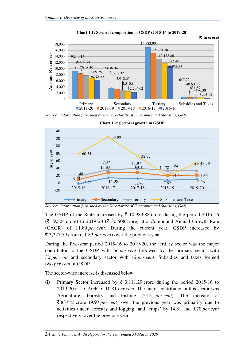



*Source: Information furnished by the Directorate of Economics and Statistics, GoN* 



**Chart 1.2: Sectoral growth in GSDP** 

*Source: Information furnished by the Directorate of Economics and Statistics, GoN* 

The GSDP of the State increased by  $\bar{\xi}$  10,983.88 crore during the period 2015-16  $(\bar{\mathcal{F}} 19,524$  crore) to 2019-20 ( $\bar{\mathcal{F}} 30,508$  crore) at a Compound Annual Growth Rate (CAGR) of 11.80 *per cent*. During the current year, GSDP increased by  $\bar{\xi}$  3,227.79 crore (11.82 *per cent*) over the previous year.

During the five-year period 2015-16 to 2019-20, the tertiary sector was the major contributor to the GSDP with 56 *per cent* followed by the primary sector with 30 *per cent* and secondary sector with 12 *per cent*. Subsidies and taxes formed two *per cent* of GSDP.

The sector-wise increase is discussed below:

(i) Primary Sector increased by  $\bar{\xi}$  3,111.29 crore during the period 2015-16 to 2019-20 at a CAGR of 10.81 *per cent*. The major contributor in this sector was Agriculture, Forestry and Fishing (54.31 *per cent*). The increase of ` 837.43 crore (9.97 *per cent*) over the previous year was primarily due to activities under 'forestry and logging' and 'crops' by 14.81 and 9.70 *per cent* respectively, over the previous year.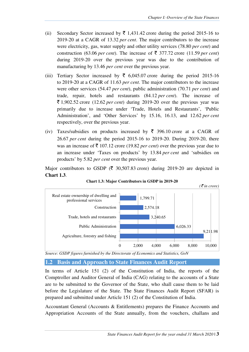- (ii) Secondary Sector increased by  $\bar{\tau}$  1,431.42 crore during the period 2015-16 to 2019-20 at a CAGR of 13.32 *per cent*. The major contributors to the increase were electricity, gas, water supply and other utility services (78.80 *per cent*) and construction (63.06 *per cent*). The increase of  $\bar{\tau}$  377.72 crore (11.59 *per cent*) during 2019-20 over the previous year was due to the contribution of manufacturing by 13.46 *per cent* over the previous year.
- (iii) Tertiary Sector increased by  $\bar{\xi}$  6,045.07 crore during the period 2015-16 to 2019-20 at a CAGR of 11.63 *per cent*. The major contributors to the increase were other services (54.47 *per cent*), public administration (70.71 *per cent*) and trade, repair, hotels and restaurants (84.12 *per cent*). The increase of  $\bar{\xi}$  1,902.52 crore (12.62 *per cent*) during 2019-20 over the previous year was primarily due to increase under 'Trade, Hotels and Restaurants', 'Public Administration', and 'Other Services' by 15.16, 16.13, and 12.62 *per cent*  respectively, over the previous year.
- (iv) Taxes/subsidies on products increased by  $\bar{\tau}$  396.10 crore at a CAGR of 26.67 *per cent* during the period 2015-16 to 2019-20. During 2019-20, there was an increase of  $\bar{\tau}$  107.12 crore (19.82 *per cent*) over the previous year due to an increase under 'Taxes on products' by 13.84 *per cent* and 'subsidies on products' by 5.82 *per cent* over the previous year.

Major contributors to GSDP ( $\bar{\xi}$  30,507.83 crore) during 2019-20 are depicted in **Chart 1.3**.





*Source: GSDP figures furnished by the Directorate of Economics and Statistics, GoN* 

#### **1.2 Basis and Approach to State Finances Audit Report**

In terms of Article 151 (2) of the Constitution of India, the reports of the Comptroller and Auditor General of India (CAG) relating to the accounts of a State are to be submitted to the Governor of the State, who shall cause them to be laid before the Legislature of the State. The State Finances Audit Report (SFAR) is prepared and submitted under Article 151 (2) of the Constitution of India.

Accountant General (Accounts & Entitlements) prepares the Finance Accounts and Appropriation Accounts of the State annually, from the vouchers, challans and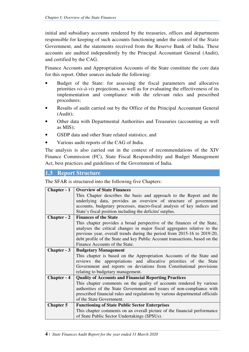initial and subsidiary accounts rendered by the treasuries, offices and departments responsible for keeping of such accounts functioning under the control of the State Government, and the statements received from the Reserve Bank of India. These accounts are audited independently by the Principal Accountant General (Audit), and certified by the CAG.

Finance Accounts and Appropriation Accounts of the State constitute the core data for this report. Other sources include the following:

- Budget of the State: for assessing the fiscal parameters and allocative priorities *vis-à-vis* projections, as well as for evaluating the effectiveness of its implementation and compliance with the relevant rules and prescribed procedures;
- Results of audit carried out by the Office of the Principal Accountant General (Audit);
- Other data with Departmental Authorities and Treasuries (accounting as well as MIS);
- GSDP data and other State related statistics; and
- Various audit reports of the CAG of India.

The analysis is also carried out in the context of recommendations of the XIV Finance Commission (FC), State Fiscal Responsibility and Budget Management Act, best practices and guidelines of the Government of India.

## **1.3 Report Structure**

The SFAR is structured into the following five Chapters:

| Chapter - 1        | <b>Overview of State Finances</b>                                            |  |  |  |  |
|--------------------|------------------------------------------------------------------------------|--|--|--|--|
|                    | This Chapter describes the basis and approach to the Report and the          |  |  |  |  |
|                    | underlying data, provides an overview of structure of government             |  |  |  |  |
|                    | accounts, budgetary processes, macro-fiscal analysis of key indices and      |  |  |  |  |
|                    | State's fiscal position including the deficits/ surplus.                     |  |  |  |  |
| <b>Chapter - 2</b> | <b>Finances of the State</b>                                                 |  |  |  |  |
|                    | This chapter provides a broad perspective of the finances of the State,      |  |  |  |  |
|                    | analyses the critical changes in major fiscal aggregates relative to the     |  |  |  |  |
|                    | previous year, overall trends during the period from 2015-16 to 2019-20,     |  |  |  |  |
|                    | debt profile of the State and key Public Account transactions, based on the  |  |  |  |  |
|                    | Finance Accounts of the State.                                               |  |  |  |  |
| Chapter - 3        | <b>Budgetary Management</b>                                                  |  |  |  |  |
|                    | This chapter is based on the Appropriation Accounts of the State and         |  |  |  |  |
|                    | reviews the appropriations and allocative priorities of the State            |  |  |  |  |
|                    | Government and reports on deviations from Constitutional provisions          |  |  |  |  |
|                    | relating to budgetary management.                                            |  |  |  |  |
| Chapter - 4        | <b>Quality of Accounts and Financial Reporting Practices</b>                 |  |  |  |  |
|                    | This chapter comments on the quality of accounts rendered by various         |  |  |  |  |
|                    | authorities of the State Government and issues of non-compliance with        |  |  |  |  |
|                    | prescribed financial rules and regulations by various departmental officials |  |  |  |  |
|                    | of the State Government.                                                     |  |  |  |  |
| <b>Chapter 5</b>   | <b>Functioning of State Public Sector Enterprises</b>                        |  |  |  |  |
|                    | This chapter comments on an overall picture of the financial performance     |  |  |  |  |
|                    | of State Public Sector Undertakings (SPSUs).                                 |  |  |  |  |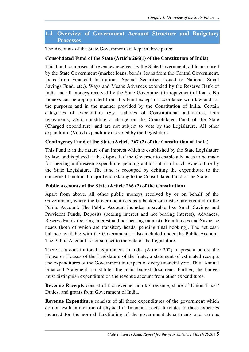## **1.4 Overview of Government Account Structure and Budgetary Processes**

The Accounts of the State Government are kept in three parts:

#### **Consolidated Fund of the State (Article 266(1) of the Constitution of India)**

This Fund comprises all revenues received by the State Government, all loans raised by the State Government (market loans, bonds, loans from the Central Government, loans from Financial Institutions, Special Securities issued to National Small Savings Fund, etc.), Ways and Means Advances extended by the Reserve Bank of India and all moneys received by the State Government in repayment of loans. No moneys can be appropriated from this Fund except in accordance with law and for the purposes and in the manner provided by the Constitution of India. Certain categories of expenditure (*e.g.*, salaries of Constitutional authorities, loan repayments, *etc.*), constitute a charge on the Consolidated Fund of the State (Charged expenditure) and are not subject to vote by the Legislature. All other expenditure (Voted expenditure) is voted by the Legislature.

#### **Contingency Fund of the State (Article 267 (2) of the Constitution of India)**

This Fund is in the nature of an imprest which is established by the State Legislature by law, and is placed at the disposal of the Governor to enable advances to be made for meeting unforeseen expenditure pending authorisation of such expenditure by the State Legislature. The fund is recouped by debiting the expenditure to the concerned functional major head relating to the Consolidated Fund of the State.

#### **Public Accounts of the State (Article 266 (2) of the Constitution)**

Apart from above, all other public moneys received by or on behalf of the Government, where the Government acts as a banker or trustee, are credited to the Public Account. The Public Account includes repayable like Small Savings and Provident Funds, Deposits (bearing interest and not bearing interest), Advances, Reserve Funds (bearing interest and not bearing interest), Remittances and Suspense heads (both of which are transitory heads, pending final booking). The net cash balance available with the Government is also included under the Public Account. The Public Account is not subject to the vote of the Legislature.

There is a constitutional requirement in India (Article 202) to present before the House or Houses of the Legislature of the State, a statement of estimated receipts and expenditures of the Government in respect of every financial year. This 'Annual Financial Statement' constitutes the main budget document. Further, the budget must distinguish expenditure on the revenue account from other expenditures.

**Revenue Receipts** consist of tax revenue, non-tax revenue, share of Union Taxes/ Duties, and grants from Government of India.

**Revenue Expenditure** consists of all those expenditures of the government which do not result in creation of physical or financial assets. It relates to those expenses incurred for the normal functioning of the government departments and various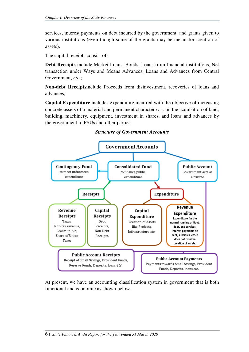services, interest payments on debt incurred by the government, and grants given to various institutions (even though some of the grants may be meant for creation of assets).

The capital receipts consist of:

**Debt Receipts** include Market Loans, Bonds, Loans from financial institutions, Net transaction under Ways and Means Advances, Loans and Advances from Central Government, *etc.*;

**Non-debt Receipts**include Proceeds from disinvestment, recoveries of loans and advances;

**Capital Expenditure** includes expenditure incurred with the objective of increasing concrete assets of a material and permanent character *viz.,* on the acquisition of land, building, machinery, equipment, investment in shares, and loans and advances by the government to PSUs and other parties.



#### *Structure of Government Accounts*

At present, we have an accounting classification system in government that is both functional and economic as shown below.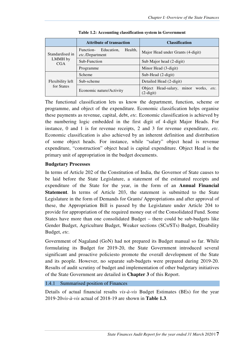|                       | <b>Attribute of transaction</b>                               | <b>Classification</b>                                 |  |  |
|-----------------------|---------------------------------------------------------------|-------------------------------------------------------|--|--|
| Standardised in       | Health,<br>Function-<br>Education,<br><i>etc.</i> /Department | Major Head under Grants (4-digit)                     |  |  |
| LMMH by<br><b>CGA</b> | Sub-Function                                                  | Sub Major head (2-digit)                              |  |  |
| Programme             |                                                               | Minor Head (3-digit)                                  |  |  |
|                       | Scheme                                                        | Sub-Head (2-digit)                                    |  |  |
| Flexibility left      | Sub-scheme                                                    | Detailed Head (2-digit)                               |  |  |
| for States            | Economic nature/Activity                                      | Object Head-salary, minor works, etc.<br>$(2$ -digit) |  |  |

| Table 1.2: Accounting classification system in Government |  |  |  |
|-----------------------------------------------------------|--|--|--|
|-----------------------------------------------------------|--|--|--|

The functional classification lets us know the department, function, scheme or programme, and object of the expenditure. Economic classification helps organise these payments as revenue, capital, debt, *etc.* Economic classification is achieved by the numbering logic embedded in the first digit of 4-digit Major Heads. For instance, 0 and 1 is for revenue receipts, 2 and 3 for revenue expenditure, *etc.* Economic classification is also achieved by an inherent definition and distribution of some object heads. For instance, while "salary" object head is revenue expenditure, "construction" object head is capital expenditure. Object Head is the primary unit of appropriation in the budget documents.

#### **Budgetary Processes**

In terms of Article 202 of the Constitution of India, the Governor of State causes to be laid before the State Legislature, a statement of the estimated receipts and expenditure of the State for the year, in the form of an **Annual Financial Statement**. In terms of Article 203, the statement is submitted to the State Legislature in the form of Demands for Grants/ Appropriations and after approval of these, the Appropriation Bill is passed by the Legislature under Article 204 to provide for appropriation of the required money out of the Consolidated Fund. Some States have more than one consolidated Budget – there could be sub-budgets like Gender Budget, Agriculture Budget, Weaker sections (SCs/STs) Budget, Disability Budget, *etc.*

Government of Nagaland (GoN) had not prepared its Budget manual so far. While formulating its Budget for 2019-20, the State Government introduced several significant and proactive policiesto promote the overall development of the State and its people. However, no separate sub-budgets were prepared during 2019-20. Results of audit scrutiny of budget and implementation of other budgetary initiatives of the State Government are detailed in **Chapter 3** of this Report.

#### 1.4.1 Summarised position of Finances

Details of actual financial results *vis-à-vis* Budget Estimates (BEs) for the year 2019-20*vis-à-vis* actual of 2018-19 are shown in **Table 1.3**.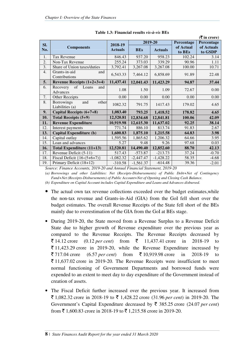|     |                                                      |                |             |                |            | $(5 \text{ in } \text{core})$ |
|-----|------------------------------------------------------|----------------|-------------|----------------|------------|-------------------------------|
| SI. |                                                      | 2018-19        |             | 2019-20        | Percentage | Percentage                    |
| No. | <b>Components</b>                                    | <b>Actuals</b> | <b>BEs</b>  | <b>Actuals</b> | of Actual  | of Actuals                    |
|     |                                                      |                |             |                | to BEs     | to GSDP                       |
| 1.  | <b>Tax Revenue</b>                                   | 846.43         | 937.20      | 958.23         | 102.24     | 3.14                          |
| 2.  | Non-Tax Revenue                                      | 255.24         | 373.03      | 339.29         | 90.96      | 1.11                          |
| 3.  | Share of Union taxes/duties                          | 3,792.41       | 3,267.08    | 3,267.08       | 100.00     | 10.71                         |
| 4.  | Grants-in-aid<br>and<br>Contributions                | 6,543.33       | 7,464.12    | 6,858.69       | 91.89      | 22.48                         |
| 5.  | Revenue Receipts $(1+2+3+4)$                         | 11,437.41      | 12,041.43   | 11,423.29      | 94.87      | 37.44                         |
| 6.  | Recovery<br>of Loans<br>and                          | 1.08           | 1.50        | 1.09           | 72.67      | 0.00                          |
|     | Advances                                             |                |             |                |            |                               |
| 7.  | Other Receipts                                       | 0.00           | 0.00        | 0.00           | 0.00       | 0.00                          |
| 8.  | <b>Borrowings</b><br>and<br>other<br>Liabilities (a) | 1082.32        | 791.75      | 1417.43        | 179.02     | 4.65                          |
| 9.  | Capital Receipts (6+7+8)                             | 1,083.40       | 793.25      | 1,418.52       | 178.82     | 4.65                          |
| 10. | <b>Total Receipts (5+9)</b>                          | 12,520.81      | 12,834.68   | 12,841.81      | 100.06     | 42.09                         |
| 11. | <b>Revenue Expenditure</b>                           | 10,919.98      | 12,615.30   | 11,637.02      | 92.25      | 38.14                         |
| 12. | Interest payments                                    | 771.74         | 886.10      | 813.74         | 91.83      | 2.67                          |
| 13. | <b>Capital Expenditure (b)</b>                       | 1,600.83       | 1,875.10    | 1,215.58       | 64.83      | 3.98                          |
| 14. | Capital outlay                                       | 1,595.56       | 1,865.62    | 1,206.32       | 64.66      | 3.95                          |
| 15. | Loan and advances                                    | 5.27           | 9.48        | 9.26           | 97.68      | 0.03                          |
| 16. | Total Expenditure (11+13)                            | 12,520.81      | 14,490.40   | 12,852.60      | 88.70      | 42.13                         |
| 17. | Revenue Deficit (5-11)                               | 517.43         | $-573.87$   | $-213.73$      | 37.24      | $-0.70$                       |
| 18. | Fiscal Deficit ${16-(5+6+7)}$                        | $-1,082.32$    | $-2,447.47$ | $-1,428.22$    | 58.35      | $-4.68$                       |
| 19. | Primary Deficit (18+12)                              | $-310.58$      | $-1,561.37$ | $-614.48$      | 39.36      | $-2.01$                       |

|  | Table 1.3: Financial results vis-à-vis BEs |  |  |
|--|--------------------------------------------|--|--|
|  |                                            |  |  |

*Source: Finance Accounts, 2019-20 and Annual Financial Statement, 2019-20 (a) Borrowings and other Liabilities: Net (Receipts-Disbursements) of Public Debt+Net of Contingency Fund+Net (Receipts-Disbursements) of Public Account+Net of Opening and Closing Cash Balance.* 

*(b) Expenditure on Capital Account includes Capital Expenditure and Loans and Advances disbursed.* 

- The actual own tax revenue collections exceeded over the budget estimates,while the non-tax revenue and Grants-in-Aid (GIA) from the GoI fell short over the budget estimates. The overall Revenue Receipts of the State fell short of the BEs mainly due to overestimation of the GIA from the GoI at BEs stage.
- During 2019-20, the State moved from a Revenue Surplus to a Revenue Deficit State due to higher growth of Revenue expenditure over the previous year as compared to the Revenue Receipts. The Revenue Receipts decreased by **\endef** 14.12 crore (0.12 *per cent*) from  $\bar{\xi}$  11.437.41 crore in 2018-19 to  $\bar{\xi}$  11,423.29 crore in 2019-20, while the Revenue Expenditure increased by **\endef** 717.04 crore (6.57 *per cent*) from  $\bar{\xi}$  10,919.98 crore in 2018-19 to  $\bar{\xi}$  11,637.02 crore in 2019-20. The Revenue Receipts were insufficient to meet normal functioning of Government Departments and borrowed funds were expended to an extent to meet day to day expenditure of the Government instead of creation of assets.
- The Fiscal Deficit further increased over the previous year. It increased from  $\bar{\xi}$  1,082.32 crore in 2018-19 to  $\bar{\xi}$  1,428.22 crore (31.96 *per cent*) in 2019-20. The Government's Capital Expenditure decreased by  $\bar{\tau}$  385.25 crore (24.07 *per cent*) from  $\bar{\mathfrak{c}}$  1.600.83 crore in 2018-19 to  $\bar{\mathfrak{c}}$  1,215.58 crore in 2019-20.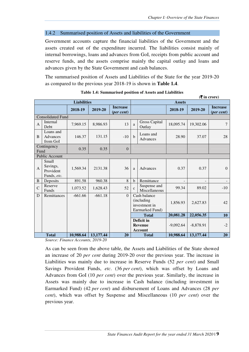#### 1.4.2 Summarised position of Assets and liabilities of the Government

Government accounts capture the financial liabilities of the Government and the assets created out of the expenditure incurred. The liabilities consist mainly of internal borrowings, loans and advances from GoI, receipts from public account and reserve funds, and the assets comprise mainly the capital outlay and loans and advances given by the State Government and cash balances.

The summarised position of Assets and Liabilities of the State for the year 2019-20 as compared to the previous year 2018-19 is shown in **Table 1.4**.

|              | $(\overline{\mathbf{\overline{z}}}$ in crore) |                    |           |                                        |                                                                 |                                                |             |             |                                        |
|--------------|-----------------------------------------------|--------------------|-----------|----------------------------------------|-----------------------------------------------------------------|------------------------------------------------|-------------|-------------|----------------------------------------|
|              |                                               | <b>Liabilities</b> |           |                                        | <b>Assets</b>                                                   |                                                |             |             |                                        |
|              |                                               | 2018-19            | 2019-20   | <b>Increase</b><br>( <i>per cent</i> ) |                                                                 |                                                | 2018-19     | 2019-20     | <b>Increase</b><br>$(\text{per cent})$ |
|              | <b>Consolidated Fund</b>                      |                    |           |                                        |                                                                 |                                                |             |             |                                        |
| $\mathbf{A}$ | Internal<br><b>Debt</b>                       | 7,969.15           | 8,986.93  | 13                                     | a                                                               | <b>Gross Capital</b><br>Outlay                 | 18,095.74   | 19,302.06   | $\tau$                                 |
| <sub>B</sub> | Loans and<br>Advances<br>from GoI             | 146.37             | 131.15    | $-10$                                  | $\mathbf{h}$                                                    | Loans and<br>Advances                          | 28.90       | 37.07       | 28                                     |
| Fund         | Contingency                                   | 0.35               | 0.35      | $\Omega$                               |                                                                 |                                                |             |             |                                        |
|              | <b>Public Account</b>                         |                    |           |                                        |                                                                 |                                                |             |             |                                        |
| A            | Small<br>Savings,<br>Provident<br>Funds, etc. | 1,569.34           | 2131.38   | 36                                     | a                                                               | Advances                                       | 0.37        | 0.37        | $\Omega$                               |
| B            | Deposits                                      | 891.58             | 960.38    | 8                                      | $\mathbf b$                                                     | Remittance                                     |             |             |                                        |
| $\mathsf{C}$ | Reserve<br>Funds                              | 1,073.52           | 1,628.43  | 52                                     | $\mathbf{c}$                                                    | Suspense and<br>Miscellaneous                  | 99.34       | 89.02       | $-10$                                  |
| D            | Remittances                                   | $-661.66$          | $-661.18$ | $\Omega$                               | Cash balance<br>(including)<br>investment in<br>Earmarked Fund) |                                                | 1,856.93    | 2,627.83    | 42.                                    |
|              |                                               |                    |           |                                        |                                                                 | <b>Total</b>                                   | 20,081.28   | 22,056.35   | 10                                     |
|              |                                               |                    |           |                                        |                                                                 | Deficit in<br><b>Revenue</b><br><b>Account</b> | $-9,092.64$ | $-8,878.91$ | $-2$                                   |
|              | <b>Total</b>                                  | 10,988.64          | 13,177.44 | 20                                     |                                                                 | <b>Total</b>                                   | 10,988.64   | 13,177.44   | 20                                     |

| Table 1.4: Summarised position of Assets and Liabilities |  |  |  |
|----------------------------------------------------------|--|--|--|
|----------------------------------------------------------|--|--|--|

*Source: Finance Accounts, 2019-20* 

As can be seen from the above table, the Assets and Liabilities of the State showed an increase of 20 *per cent* during 2019-20 over the previous year. The increase in Liabilities was mainly due to increase in Reserve Funds (52 *per cent*) and Small Savings Provident Funds, *etc*. (36 *per cent*), which was offset by Loans and Advances from GoI (10 *per cent*) over the previous year. Similarly, the increase in Assets was mainly due to increase in Cash balance (including investment in Earmarked Fund) (42 *per cent*) and disbursement of Loans and Advances (28 *per cent*), which was offset by Suspense and Miscellaneous (10 *per cent*) over the previous year.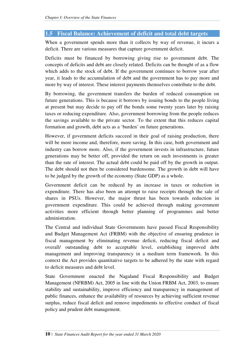## **1.5 Fiscal Balance: Achievement of deficit and total debt targets**

When a government spends more than it collects by way of revenue, it incurs a deficit. There are various measures that capture government deficit.

Deficits must be financed by borrowing giving rise to government debt. The concepts of deficits and debt are closely related. Deficits can be thought of as a flow which adds to the stock of debt. If the government continues to borrow year after year, it leads to the accumulation of debt and the government has to pay more and more by way of interest. These interest payments themselves contribute to the debt.

By borrowing, the government transfers the burden of reduced consumption on future generations. This is because it borrows by issuing bonds to the people living at present but may decide to pay off the bonds some twenty years later by raising taxes or reducing expenditure. Also, government borrowing from the people reduces the savings available to the private sector. To the extent that this reduces capital formation and growth, debt acts as a 'burden' on future generations.

However, if government deficits succeed in their goal of raising production, there will be more income and, therefore, more saving. In this case, both government and industry can borrow more. Also, if the government invests in infrastructure, future generations may be better off, provided the return on such investments is greater than the rate of interest. The actual debt could be paid off by the growth in output. The debt should not then be considered burdensome. The growth in debt will have to be judged by the growth of the economy (State GDP) as a whole.

Government deficit can be reduced by an increase in taxes or reduction in expenditure. There has also been an attempt to raise receipts through the sale of shares in PSUs. However, the major thrust has been towards reduction in government expenditure. This could be achieved through making government activities more efficient through better planning of programmes and better administration.

The Central and individual State Governments have passed Fiscal Responsibility and Budget Management Act (FRBM) with the objective of ensuring prudence in fiscal management by eliminating revenue deficit, reducing fiscal deficit and overall/ outstanding debt to acceptable level, establishing improved debt management and improving transparency in a medium term framework. In this context the Act provides quantitative targets to be adhered by the state with regard to deficit measures and debt level.

State Government enacted the Nagaland Fiscal Responsibility and Budget Management (NFRBM) Act, 2005 in line with the Union FRBM Act, 2003, to ensure stability and sustainability, improve efficiency and transparency in management of public finances, enhance the availability of resources by achieving sufficient revenue surplus, reduce fiscal deficit and remove impediments to effective conduct of fiscal policy and prudent debt management.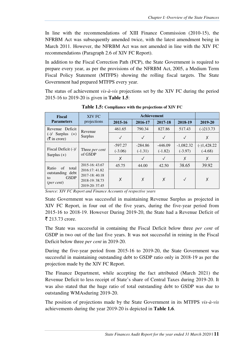In line with the recommendations of XIII Finance Commission (2010-15), the NFRBM Act was subsequently amended twice, with the latest amendment being in March 2011. However, the NFRBM Act was not amended in line with the XIV FC recommendations (Paragraph 2.6 of XIV FC Report).

In addition to the Fiscal Correction Path (FCP), the State Government is required to prepare every year, as per the provisions of the NFRBM Act, 2005, a Medium Term Fiscal Policy Statement (MTFPS) showing the rolling fiscal targets. The State Government had prepared MTFPS every year.

The status of achievement *vis-à-vis* projections set by the XIV FC during the period 2015-16 to 2019-20 is given in **Table 1.5**:

| <b>Fiscal</b>                                                     | XIV FC                                                              |                        | <b>Achievement</b>     |                        |                          |                            |
|-------------------------------------------------------------------|---------------------------------------------------------------------|------------------------|------------------------|------------------------|--------------------------|----------------------------|
| <b>Parameters</b>                                                 | projections                                                         | 2015-16                | 2016-17                | 2017-18                | 2018-19                  | 2019-20                    |
| Revenue Deficit                                                   | Revenue                                                             | 461.65                 | 790.34                 | 827.86                 | 517.43                   | $(-)213.73$                |
| Surplus $(+)$<br>$(-)/$<br>$(\bar{\bar{\mathbf{\tau}}}$ in crore) | Surplus                                                             | $\checkmark$           | $\checkmark$           |                        | $\checkmark$             | Χ                          |
| Fiscal Deficit (-)/                                               | Three <i>per cent</i>                                               | $-597.27$<br>$(-3.06)$ | $-284.86$<br>$(-1.31)$ | $-446.09$<br>$(-1.82)$ | $-1,082.32$<br>$(-3.97)$ | $(-)1,428.22$<br>$(-4.68)$ |
| Surplus $(+)$                                                     | of GSDP                                                             | X                      | $\checkmark$           | $\sqrt{}$              | Χ                        | Χ                          |
| of<br>Ratio<br>total                                              | 2015-16: 43.67                                                      | 45.75                  | 44.00                  | 42.50                  | 38.65                    | 39.92                      |
| outstanding debt<br><b>GSDP</b><br>to<br>$(\text{per cent})$      | 2016:17: 41.82<br>2017-18:40.18<br>2018-19: 38.73<br>2019-20: 37.45 | X                      | Χ                      | X                      | $\checkmark$             | X                          |

**Table 1.5: Compliance with the projections of XIV FC**

*Source: XIV FC Report and Finance Accounts of respective years* 

State Government was successful in maintaining Revenue Surplus as projected in XIV FC Report, in four out of the five years, during the five-year period from 2015-16 to 2018-19. However During 2019-20, the State had a Revenue Deficit of  $\bar{z}$  213.73 crore.

The State was successful in containing the Fiscal Deficit below three *per cent* of GSDP in two out of the last five years. It was not successful in reining in the Fiscal Deficit below three *per cent* in 2019-20.

During the five-year period from 2015-16 to 2019-20, the State Government was successful in maintaining outstanding debt to GSDP ratio only in 2018-19 as per the projection made by the XIV FC Report.

The Finance Department, while accepting the fact attributed (March 2021) the Revenue Deficit to less receipt of State's share of Central Taxes during 2019-20. It was also stated that the huge ratio of total outstanding debt to GSDP was due to outstanding WMAsduring 2019-20.

The position of projections made by the State Government in its MTFPS *vis-à-vis* achievements during the year 2019-20 is depicted in **Table 1.6**.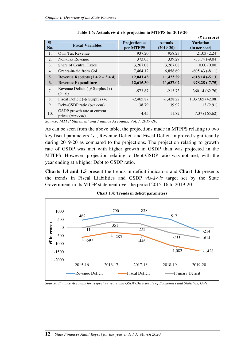|                  |                                                           |                                   |                               | $($ $\overline{\mathbf{\mathsf{z}}}$ in crore) |
|------------------|-----------------------------------------------------------|-----------------------------------|-------------------------------|------------------------------------------------|
| SI.<br>No.       | <b>Fiscal Variables</b>                                   | <b>Projection as</b><br>per MTFPS | <b>Actuals</b><br>$(2019-20)$ | <b>Variation</b><br>(in per cent)              |
| 1.               | Own Tax Revenue                                           | 937.20                            | 958.23                        | 21.03(2.24)                                    |
| 2.               | Non-Tax Revenue                                           | 373.03                            | 339.29                        | $-33.74(-9.04)$                                |
| 3.               | <b>Share of Central Taxes</b>                             | 3,267.08                          | 3,267.08                      | 0.00(0.00)                                     |
| $\overline{4}$ . | Grants-in-aid from GoI                                    | 7,464.12                          | 6,858.69                      | $-605.43(-8.11)$                               |
| 5.               | Revenue Receipts $(1 + 2 + 3 + 4)$                        | 12,041.43                         | 11,423.29                     | $-618.14(-5.13)$                               |
| 6.               | <b>Revenue Expenditure</b>                                | 12,615.30                         | 11,637.02                     | $-978.28(-7.75)$                               |
| 7.               | Revenue Deficit $(-)/$ Surplus $(+)$<br>$(5 - 6)$         | $-573.87$                         | $-213.73$                     | 360.14 (62.76)                                 |
| 8.               | Fiscal Deficit $(-)/$ Surplus $(+)$                       | $-2,465.87$                       | $-1,428.22$                   | 1,037.65 (42.08)                               |
| 9.               | Debt-GSDP ratio (per cent)                                | 38.79                             | 39.92                         | 1.13(2.91)                                     |
| 10.              | GSDP growth rate at current<br>prices ( <i>per cent</i> ) | 4.45                              | 11.82                         | 7.37 (165.62)                                  |

**Table 1.6: Actuals** *vis-à-vis* **projection in MTFPS for 2019-20** 

*Source: MTFP Statement and Finance Accounts, Vol. I, 2019-20.* 

As can be seen from the above table, the projections made in MTFPS relating to two key fiscal parameters *i.e*., Revenue Deficit and Fiscal Deficit improved significantly during 2019-20 as compared to the projections. The projection relating to growth rate of GSDP was met with higher growth in GSDP than was projected in the MTFPS. However, projection relating to Debt-GSDP ratio was not met, with the year ending at a higher Debt to GSDP ratio.

**Charts 1.4 and 1.5** present the trends in deficit indicators and **Chart 1.6** presents the trends in Fiscal Liabilities and GSDP *vis-à-vis* target set by the State Government in its MTFP statement over the period 2015-16 to 2019-20.



**Chart 1.4: Trends in deficit parameters** 

*Source: Finance Accounts for respective years and GSDP-Directorate of Economics and Statistics, GoN*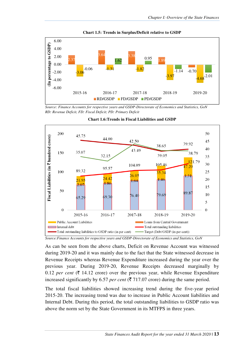

**Chart 1.5: Trends in Surplus/Deficit relative to GSDP** 

*Source: Finance Accounts for respective years and GSDP-Directorate of Economics and Statistics, GoN RD: Revenue Deficit, FD: Fiscal Deficit; PD: Primary Deficit* 





As can be seen from the above charts, Deficit on Revenue Account was witnessed during 2019-20 and it was mainly due to the fact that the State witnessed decrease in Revenue Receipts whereas Revenue Expenditure increased during the year over the previous year. During 2019-20, Revenue Receipts decreased marginally by 0.12 *per cent* ( $\bar{\tau}$  14.12 crore) over the previous year, while Revenue Expenditure increased significantly by 6.57 *per cent* ( $\bar{\tau}$  717.07 crore) during the same period.

The total fiscal liabilities showed increasing trend during the five-year period 2015-20. The increasing trend was due to increase in Public Account liabilities and Internal Debt. During this period, the total outstanding liabilities to GSDP ratio was above the norm set by the State Government in its MTFPS in three years.

*Source:Finance Accounts for respective years and GSDP-Directorate of Economics and Statistics, GoN*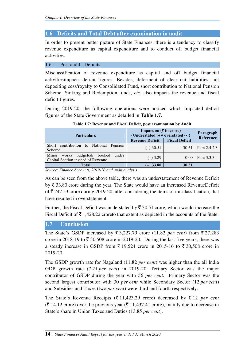## **1.6 Deficits and Total Debt after examination in audit**

In order to present better picture of State Finances, there is a tendency to classify revenue expenditure as capital expenditure and to conduct off budget financial activities.

#### 1.6.1 Post audit - Deficits

Misclassification of revenue expenditure as capital and off budget financial activitiesimpacts deficit figures. Besides, deferment of clear cut liabilities, not depositing cess/royalty to Consolidated Fund, short contribution to National Pension Scheme, Sinking and Redemption funds, *etc.* also impacts the revenue and fiscal deficit figures.

During 2019-20, the following operations were noticed which impacted deficit figures of the State Government as detailed in **Table 1.7**.

| <b>Particulars</b>                                                          | Impact on $(\overline{\mathbf{\xi}})$ in crore)<br>{Understated $(+)/$ overstated $(-)$ } | Paragraph<br>Reference |                     |
|-----------------------------------------------------------------------------|-------------------------------------------------------------------------------------------|------------------------|---------------------|
|                                                                             | <b>Revenue Deficit</b>                                                                    | <b>Fiscal Deficit</b>  |                     |
| Short contribution to National Pension<br>Scheme                            | $(+)$ 30.51                                                                               | 30.51                  | <b>Para 2.4.2.3</b> |
| under<br>Minor works budgeted/ booked<br>Capital Section instead of Revenue | $(+)$ 3.29                                                                                | 0.00                   | Para $3.3.3$        |
| <b>Total</b>                                                                | $(+)$ 33.80                                                                               | 30.51                  |                     |

**Table 1.7: Revenue and Fiscal Deficit, post examination by Audit** 

*Source: Finance Accounts, 2019-20 and audit analysis* 

As can be seen from the above table, there was an understatement of Revenue Deficit by  $\bar{\tau}$  33.80 crore during the year. The State would have an increased RevenueDeficit of  $\bar{\tau}$  247.53 crore during 2019-20, after considering the items of misclassification, that have resulted in overstatement.

Further, the Fiscal Deficit was understated by  $\bar{\tau}$  30.51 crore, which would increase the Fiscal Deficit of  $\bar{\tau}$  1,428.22 croreto that extent as depicted in the accounts of the State.

## **1.7 Conclusion**

The State's GSDP increased by  $\overline{\xi}$  3,227.79 crore (11.82 *per cent*) from  $\overline{\xi}$  27,283 crore in 2018-19 to  $\bar{\mathfrak{c}}$  30,508 crore in 2019-20. During the last five years, there was a steady increase in GSDP from  $\overline{5}$  19,524 crore in 2015-16 to  $\overline{5}$  30,508 crore in 2019-20.

The GSDP growth rate for Nagaland (11.82 *per cent*) was higher than the all India GDP growth rate (7.21 *per cent*) in 2019-20. Tertiary Sector was the major contributor of GSDP during the year with 56 *per cent*. Primary Sector was the second largest contributor with 30 *per cent* while Secondary Sector (12 *per cent*) and Subsidies and Taxes (two *per cent*) were third and fourth respectively.

The State's Revenue Receipts  $(\bar{\mathcal{F}} 11,423.29$  crore) decreased by 0.12 *per cent*  $(\bar{\mathbf{\mathsf{z}}} 14.12 \text{ core})$  over the previous year  $(\bar{\mathbf{\mathsf{z}}} 11,437.41 \text{ core})$ , mainly due to decrease in State's share in Union Taxes and Duties (13.85 *per cent*).